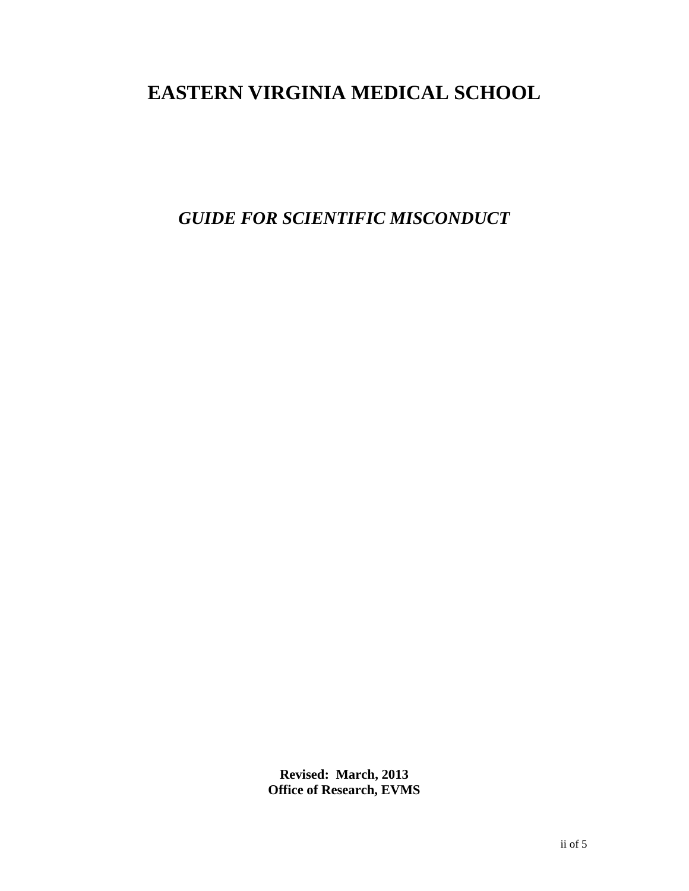## **EASTERN VIRGINIA MEDICAL SCHOOL**

*GUIDE FOR SCIENTIFIC MISCONDUCT*

**Revised: March, 2013 Office of Research, EVMS**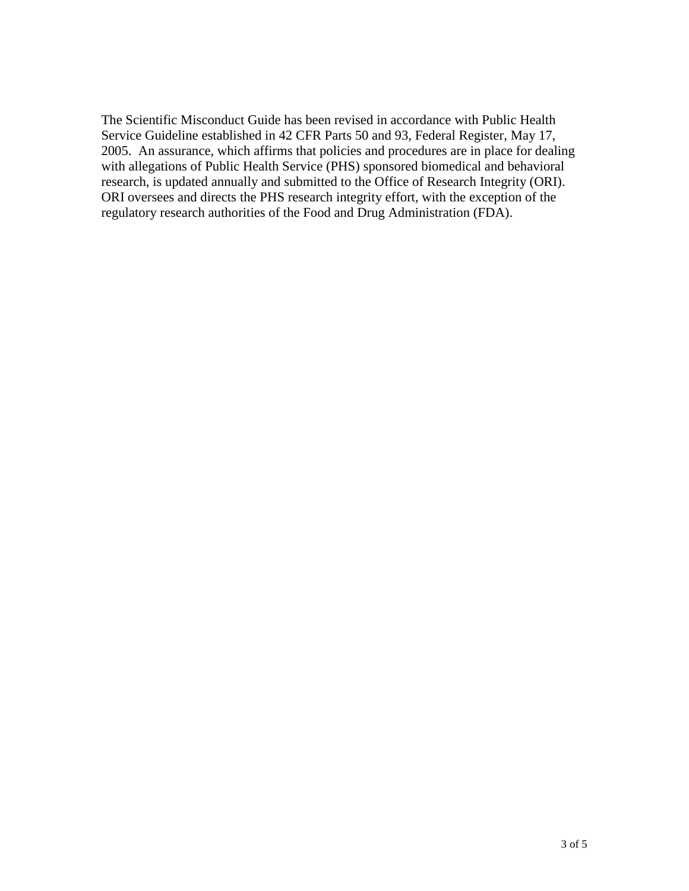The Scientific Misconduct Guide has been revised in accordance with Public Health Service Guideline established in 42 CFR Parts 50 and 93, Federal Register, May 17, 2005. An assurance, which affirms that policies and procedures are in place for dealing with allegations of Public Health Service (PHS) sponsored biomedical and behavioral research, is updated annually and submitted to the Office of Research Integrity (ORI). ORI oversees and directs the PHS research integrity effort, with the exception of the regulatory research authorities of the Food and Drug Administration (FDA).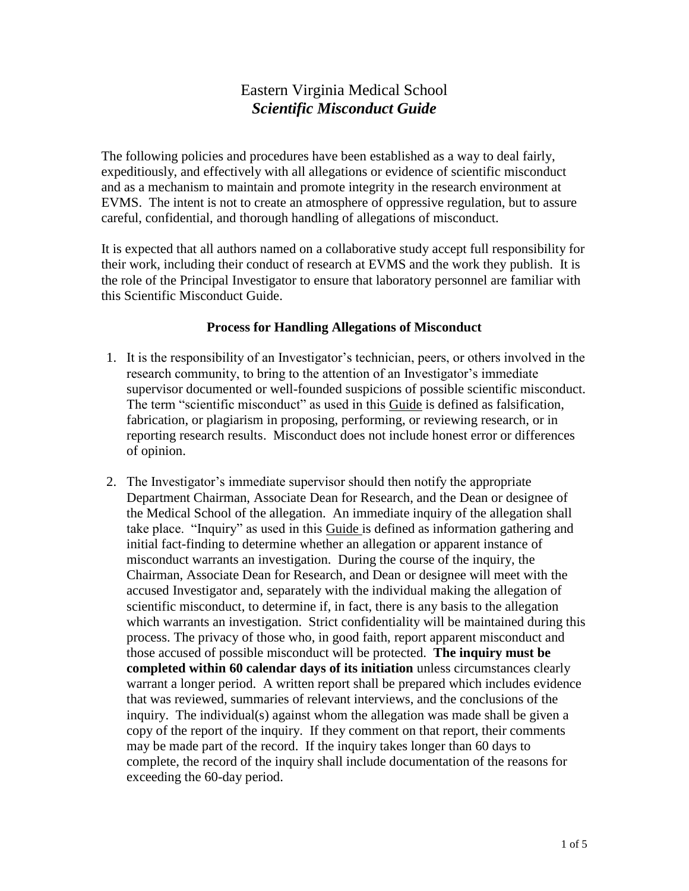## Eastern Virginia Medical School *Scientific Misconduct Guide*

The following policies and procedures have been established as a way to deal fairly, expeditiously, and effectively with all allegations or evidence of scientific misconduct and as a mechanism to maintain and promote integrity in the research environment at EVMS. The intent is not to create an atmosphere of oppressive regulation, but to assure careful, confidential, and thorough handling of allegations of misconduct.

It is expected that all authors named on a collaborative study accept full responsibility for their work, including their conduct of research at EVMS and the work they publish. It is the role of the Principal Investigator to ensure that laboratory personnel are familiar with this Scientific Misconduct Guide.

## **Process for Handling Allegations of Misconduct**

- 1. It is the responsibility of an Investigator's technician, peers, or others involved in the research community, to bring to the attention of an Investigator's immediate supervisor documented or well-founded suspicions of possible scientific misconduct. The term "scientific misconduct" as used in this Guide is defined as falsification, fabrication, or plagiarism in proposing, performing, or reviewing research, or in reporting research results. Misconduct does not include honest error or differences of opinion.
- 2. The Investigator's immediate supervisor should then notify the appropriate Department Chairman, Associate Dean for Research, and the Dean or designee of the Medical School of the allegation. An immediate inquiry of the allegation shall take place. "Inquiry" as used in this Guide is defined as information gathering and initial fact-finding to determine whether an allegation or apparent instance of misconduct warrants an investigation. During the course of the inquiry, the Chairman, Associate Dean for Research, and Dean or designee will meet with the accused Investigator and, separately with the individual making the allegation of scientific misconduct, to determine if, in fact, there is any basis to the allegation which warrants an investigation. Strict confidentiality will be maintained during this process. The privacy of those who, in good faith, report apparent misconduct and those accused of possible misconduct will be protected. **The inquiry must be completed within 60 calendar days of its initiation** unless circumstances clearly warrant a longer period. A written report shall be prepared which includes evidence that was reviewed, summaries of relevant interviews, and the conclusions of the inquiry. The individual(s) against whom the allegation was made shall be given a copy of the report of the inquiry. If they comment on that report, their comments may be made part of the record. If the inquiry takes longer than 60 days to complete, the record of the inquiry shall include documentation of the reasons for exceeding the 60-day period.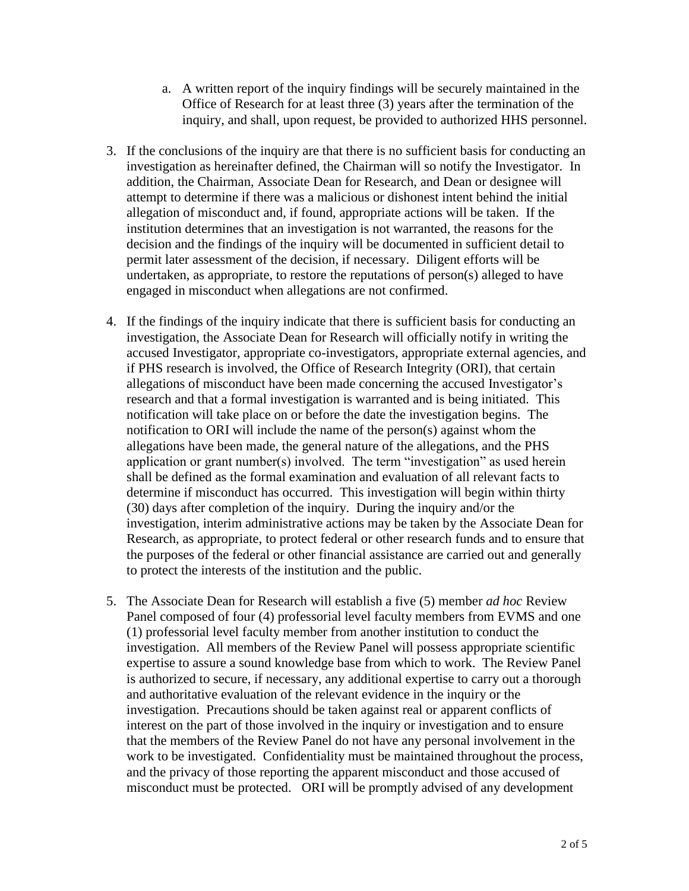- a. A written report of the inquiry findings will be securely maintained in the Office of Research for at least three (3) years after the termination of the inquiry, and shall, upon request, be provided to authorized HHS personnel.
- 3. If the conclusions of the inquiry are that there is no sufficient basis for conducting an investigation as hereinafter defined, the Chairman will so notify the Investigator. In addition, the Chairman, Associate Dean for Research, and Dean or designee will attempt to determine if there was a malicious or dishonest intent behind the initial allegation of misconduct and, if found, appropriate actions will be taken. If the institution determines that an investigation is not warranted, the reasons for the decision and the findings of the inquiry will be documented in sufficient detail to permit later assessment of the decision, if necessary. Diligent efforts will be undertaken, as appropriate, to restore the reputations of person(s) alleged to have engaged in misconduct when allegations are not confirmed.
- 4. If the findings of the inquiry indicate that there is sufficient basis for conducting an investigation, the Associate Dean for Research will officially notify in writing the accused Investigator, appropriate co-investigators, appropriate external agencies, and if PHS research is involved, the Office of Research Integrity (ORI), that certain allegations of misconduct have been made concerning the accused Investigator's research and that a formal investigation is warranted and is being initiated. This notification will take place on or before the date the investigation begins. The notification to ORI will include the name of the person(s) against whom the allegations have been made, the general nature of the allegations, and the PHS application or grant number(s) involved. The term "investigation" as used herein shall be defined as the formal examination and evaluation of all relevant facts to determine if misconduct has occurred. This investigation will begin within thirty (30) days after completion of the inquiry. During the inquiry and/or the investigation, interim administrative actions may be taken by the Associate Dean for Research, as appropriate, to protect federal or other research funds and to ensure that the purposes of the federal or other financial assistance are carried out and generally to protect the interests of the institution and the public.
- 5. The Associate Dean for Research will establish a five (5) member *ad hoc* Review Panel composed of four (4) professorial level faculty members from EVMS and one (1) professorial level faculty member from another institution to conduct the investigation. All members of the Review Panel will possess appropriate scientific expertise to assure a sound knowledge base from which to work. The Review Panel is authorized to secure, if necessary, any additional expertise to carry out a thorough and authoritative evaluation of the relevant evidence in the inquiry or the investigation. Precautions should be taken against real or apparent conflicts of interest on the part of those involved in the inquiry or investigation and to ensure that the members of the Review Panel do not have any personal involvement in the work to be investigated. Confidentiality must be maintained throughout the process, and the privacy of those reporting the apparent misconduct and those accused of misconduct must be protected. ORI will be promptly advised of any development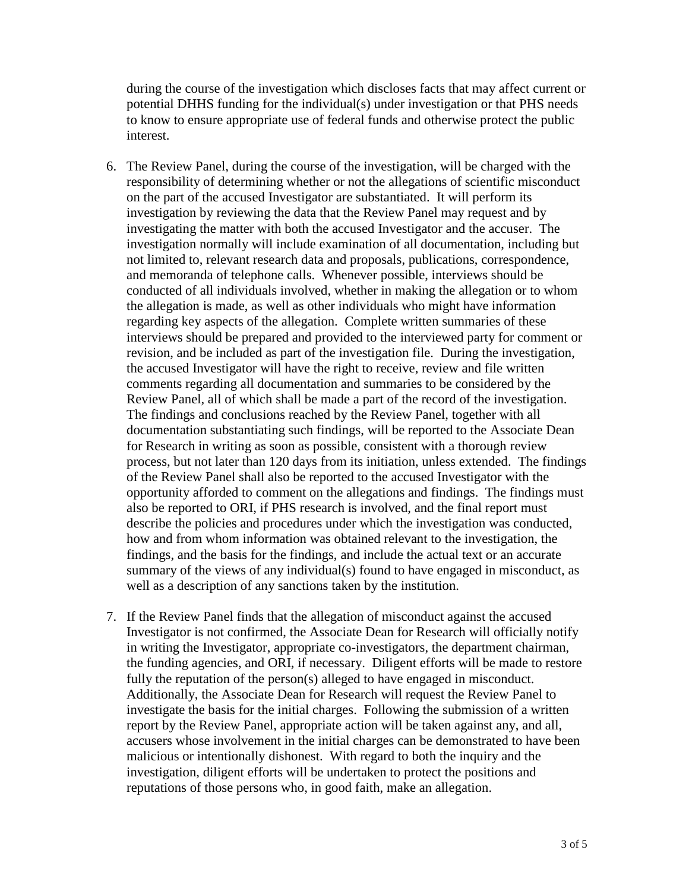during the course of the investigation which discloses facts that may affect current or potential DHHS funding for the individual(s) under investigation or that PHS needs to know to ensure appropriate use of federal funds and otherwise protect the public interest.

- 6. The Review Panel, during the course of the investigation, will be charged with the responsibility of determining whether or not the allegations of scientific misconduct on the part of the accused Investigator are substantiated. It will perform its investigation by reviewing the data that the Review Panel may request and by investigating the matter with both the accused Investigator and the accuser. The investigation normally will include examination of all documentation, including but not limited to, relevant research data and proposals, publications, correspondence, and memoranda of telephone calls. Whenever possible, interviews should be conducted of all individuals involved, whether in making the allegation or to whom the allegation is made, as well as other individuals who might have information regarding key aspects of the allegation. Complete written summaries of these interviews should be prepared and provided to the interviewed party for comment or revision, and be included as part of the investigation file. During the investigation, the accused Investigator will have the right to receive, review and file written comments regarding all documentation and summaries to be considered by the Review Panel, all of which shall be made a part of the record of the investigation. The findings and conclusions reached by the Review Panel, together with all documentation substantiating such findings, will be reported to the Associate Dean for Research in writing as soon as possible, consistent with a thorough review process, but not later than 120 days from its initiation, unless extended. The findings of the Review Panel shall also be reported to the accused Investigator with the opportunity afforded to comment on the allegations and findings. The findings must also be reported to ORI, if PHS research is involved, and the final report must describe the policies and procedures under which the investigation was conducted, how and from whom information was obtained relevant to the investigation, the findings, and the basis for the findings, and include the actual text or an accurate summary of the views of any individual(s) found to have engaged in misconduct, as well as a description of any sanctions taken by the institution.
- 7. If the Review Panel finds that the allegation of misconduct against the accused Investigator is not confirmed, the Associate Dean for Research will officially notify in writing the Investigator, appropriate co-investigators, the department chairman, the funding agencies, and ORI, if necessary. Diligent efforts will be made to restore fully the reputation of the person(s) alleged to have engaged in misconduct. Additionally, the Associate Dean for Research will request the Review Panel to investigate the basis for the initial charges. Following the submission of a written report by the Review Panel, appropriate action will be taken against any, and all, accusers whose involvement in the initial charges can be demonstrated to have been malicious or intentionally dishonest. With regard to both the inquiry and the investigation, diligent efforts will be undertaken to protect the positions and reputations of those persons who, in good faith, make an allegation.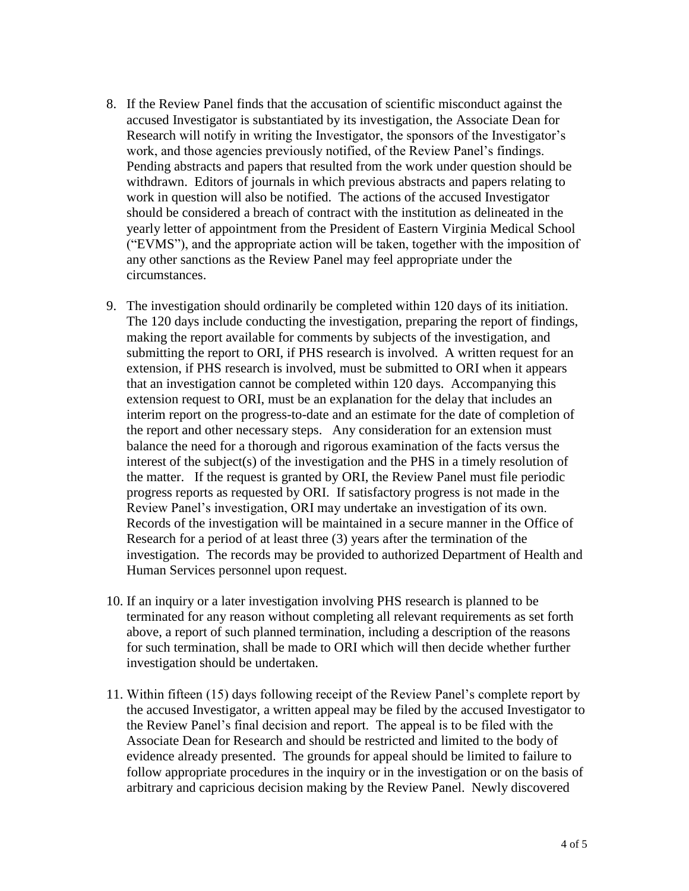- 8. If the Review Panel finds that the accusation of scientific misconduct against the accused Investigator is substantiated by its investigation, the Associate Dean for Research will notify in writing the Investigator, the sponsors of the Investigator's work, and those agencies previously notified, of the Review Panel's findings. Pending abstracts and papers that resulted from the work under question should be withdrawn. Editors of journals in which previous abstracts and papers relating to work in question will also be notified. The actions of the accused Investigator should be considered a breach of contract with the institution as delineated in the yearly letter of appointment from the President of Eastern Virginia Medical School ("EVMS"), and the appropriate action will be taken, together with the imposition of any other sanctions as the Review Panel may feel appropriate under the circumstances.
- 9. The investigation should ordinarily be completed within 120 days of its initiation. The 120 days include conducting the investigation, preparing the report of findings, making the report available for comments by subjects of the investigation, and submitting the report to ORI, if PHS research is involved. A written request for an extension, if PHS research is involved, must be submitted to ORI when it appears that an investigation cannot be completed within 120 days. Accompanying this extension request to ORI, must be an explanation for the delay that includes an interim report on the progress-to-date and an estimate for the date of completion of the report and other necessary steps. Any consideration for an extension must balance the need for a thorough and rigorous examination of the facts versus the interest of the subject(s) of the investigation and the PHS in a timely resolution of the matter. If the request is granted by ORI, the Review Panel must file periodic progress reports as requested by ORI. If satisfactory progress is not made in the Review Panel's investigation, ORI may undertake an investigation of its own. Records of the investigation will be maintained in a secure manner in the Office of Research for a period of at least three (3) years after the termination of the investigation. The records may be provided to authorized Department of Health and Human Services personnel upon request.
- 10. If an inquiry or a later investigation involving PHS research is planned to be terminated for any reason without completing all relevant requirements as set forth above, a report of such planned termination, including a description of the reasons for such termination, shall be made to ORI which will then decide whether further investigation should be undertaken.
- 11. Within fifteen (15) days following receipt of the Review Panel's complete report by the accused Investigator, a written appeal may be filed by the accused Investigator to the Review Panel's final decision and report. The appeal is to be filed with the Associate Dean for Research and should be restricted and limited to the body of evidence already presented. The grounds for appeal should be limited to failure to follow appropriate procedures in the inquiry or in the investigation or on the basis of arbitrary and capricious decision making by the Review Panel. Newly discovered